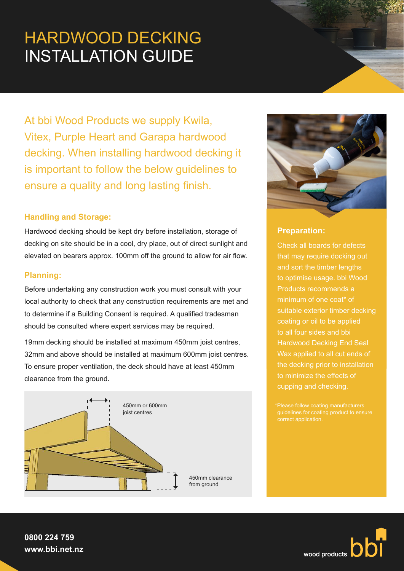# HARDWOOD DECKING INSTALLATION GUIDE

At bbi Wood Products we supply Kwila, Vitex, Purple Heart and Garapa hardwood decking. When installing hardwood decking it is important to follow the below guidelines to ensure a quality and long lasting finish.

## **Handling and Storage:**

Hardwood decking should be kept dry before installation, storage of decking on site should be in a cool, dry place, out of direct sunlight and elevated on bearers approx. 100mm off the ground to allow for air flow.

## **Planning:**

Before undertaking any construction work you must consult with your local authority to check that any construction requirements are met and to determine if a Building Consent is required. A qualified tradesman should be consulted where expert services may be required.

19mm decking should be installed at maximum 450mm joist centres, 32mm and above should be installed at maximum 600mm joist centres. To ensure proper ventilation, the deck should have at least 450mm clearance from the ground.





# **Preparation:**

Check all boards for defects that may require docking out and sort the timber lengths to optimise usage. bbi Wood Products recommends a suitable exterior timber decking coating or oil to be applied to all four sides and bbi Hardwood Decking End Seal Wax applied to all cut ends of to minimize the effects of cupping and checking.

guidelines for coating product to ensure

**0800 224 759 www.bbi.net.nz**